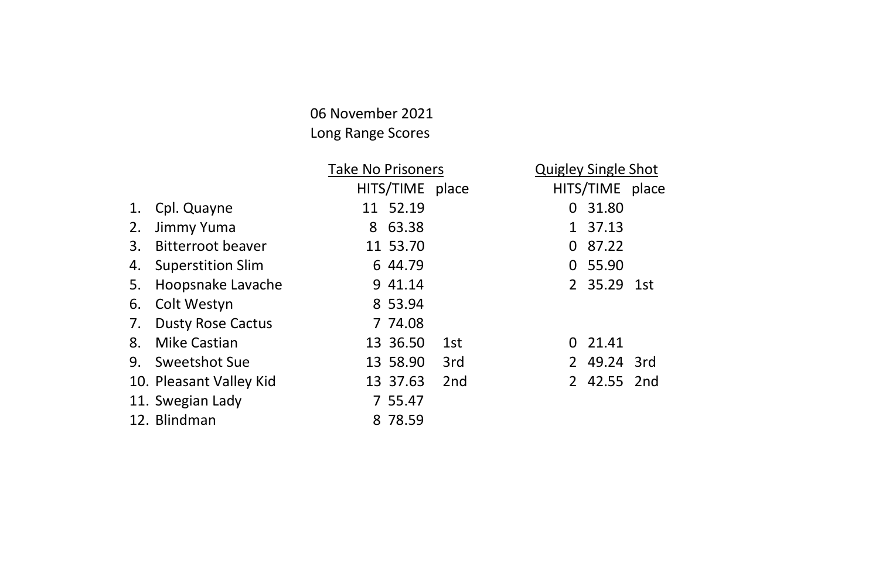### 06 November 2021 Long Range Scores

|    |                          | <b>Take No Prisoners</b> |                 | <b>Quigley Single Shot</b> |                 |  |
|----|--------------------------|--------------------------|-----------------|----------------------------|-----------------|--|
|    |                          | HITS/TIME place          |                 |                            | HITS/TIME place |  |
| 1. | Cpl. Quayne              | 11 52.19                 |                 | 0                          | 31.80           |  |
| 2. | Jimmy Yuma               | 63.38<br>8               |                 | $\mathbf{1}$               | 37.13           |  |
| 3. | Bitterroot beaver        | 11 53.70                 |                 | 0                          | 87.22           |  |
| 4. | <b>Superstition Slim</b> | 6 44.79                  |                 |                            | 0 55.90         |  |
| 5. | Hoopsnake Lavache        | 9 41.14                  |                 |                            | 2 35.29 1st     |  |
| 6. | Colt Westyn              | 8 53.94                  |                 |                            |                 |  |
| 7. | <b>Dusty Rose Cactus</b> | 7 74.08                  |                 |                            |                 |  |
| 8. | Mike Castian             | 13 36.50                 | 1st             | 0.                         | 21.41           |  |
| 9. | Sweetshot Sue            | 13 58.90                 | 3rd             | 2                          | 49.24 3rd       |  |
|    | 10. Pleasant Valley Kid  | 13 37.63                 | 2 <sub>nd</sub> |                            | 2 42.55 2nd     |  |
|    | 11. Swegian Lady         | 7 55.47                  |                 |                            |                 |  |
|    | 12. Blindman             | 8 78.59                  |                 |                            |                 |  |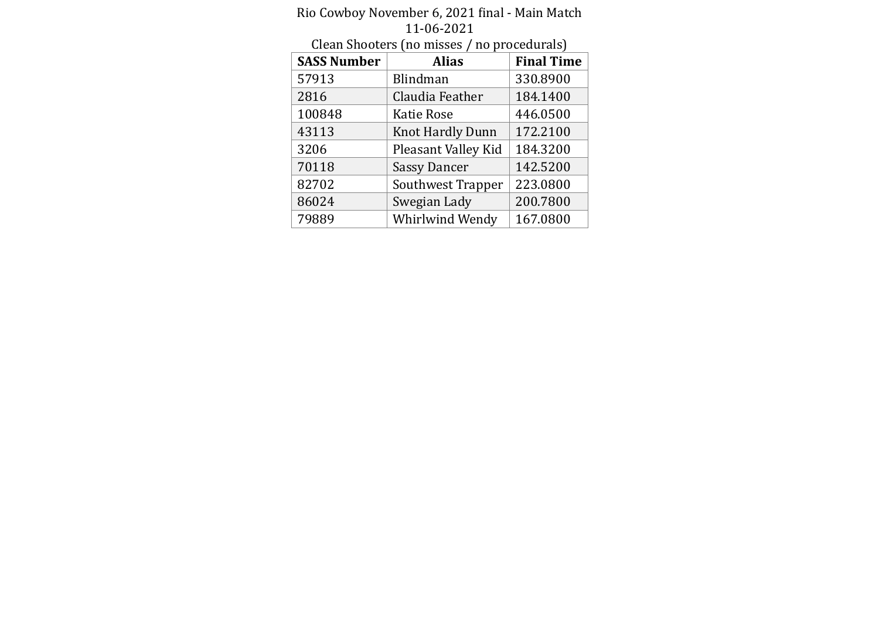|                    | <u>LL-06-2021</u>                           |                   |
|--------------------|---------------------------------------------|-------------------|
|                    | Clean Shooters (no misses / no procedurals) |                   |
| <b>SASS Number</b> | <b>Alias</b>                                | <b>Final Time</b> |
| 57913              | Blindman                                    | 330.8900          |
| 2816               | Claudia Feather                             | 184.1400          |
| 100848             | Katie Rose                                  | 446.0500          |
| 43113              | Knot Hardly Dunn                            | 172.2100          |
| 3206               | Pleasant Valley Kid                         | 184.3200          |
| 70118              | <b>Sassy Dancer</b>                         | 142.5200          |
| 82702              | Southwest Trapper                           | 223.0800          |
| 86024              | Swegian Lady                                | 200.7800          |
| 79889              | Whirlwind Wendy                             | 167.0800          |

#### Rio Cowboy November 6, 2021 final - Main Match 11-06-2021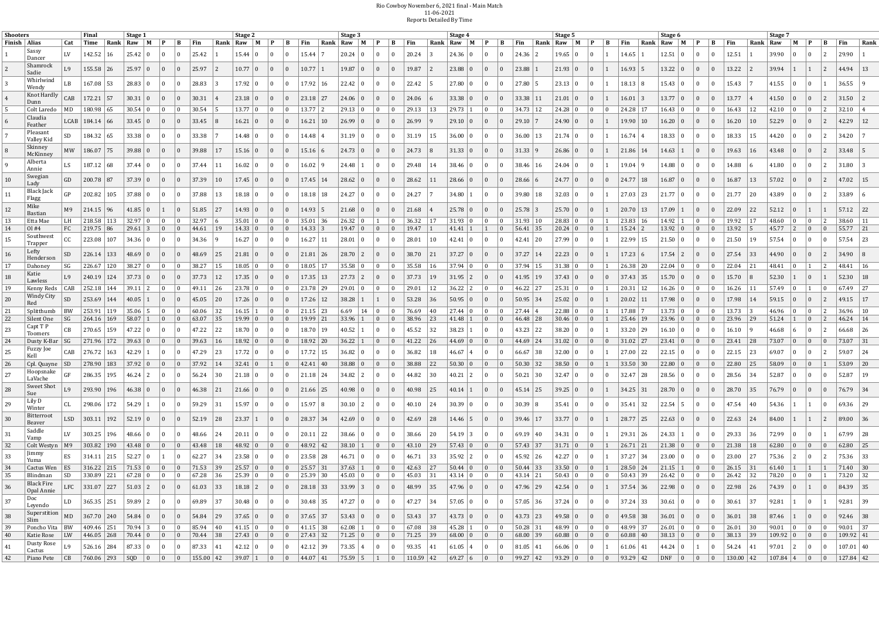#### Rio Co wboy No vember 6, 2021 final - Main Match 11-06-2021 Reports Detailed By Time

| Rank Raw M<br>$ $ Fin<br>  <sub>Fin</sub><br>Rank Raw M P<br>$\vert$ Rank $\vert$ Raw $\vert$ M $\vert$ P<br>Finish   Alias<br>Cat<br>Time<br>Rank Raw M<br>Fin<br>B<br>Rank Raw M<br>B<br>Rank Raw M<br>$\mathbf{B}$<br>  Fin<br>$\mathbf{B}$<br>  Fin<br>B<br>$ $ Fin<br>$\mathbf{P}$<br>B<br>$\mathbf{P}$<br>$\mathbf{P}$<br>$\mathbf{P}$<br>Sassy<br>LV<br>142.52<br>$25.42 \,   \, 0$<br>25.42<br>$15.44 \,   \, 0$<br>$20.24 \, \, 0$<br>20.24<br>24.36<br>$19.65 \,   \, 0$<br>14.65<br>$12.51 \,   \, 0$<br>12.51<br>  16<br>$\bf{0}$<br>15.44<br>24.36 0<br>$\bf{0}$<br>  O<br>- 0<br>$\pm 0$<br>$\Omega$<br>$\bf{0}$<br>$\bf{0}$<br>Dancer<br>Shamrock<br>L9<br>$155.58 \mid 26$<br>25.97 0<br>25.97<br>$10.77 \mid 0$<br>10.77<br>19.87<br>23.88 0<br>23.88<br>21.93 0<br>$13.22 \mid 0$<br>13.22<br>$19.87 \pm 0$<br>$\vert 2 \vert$<br>$\bf{0}$<br>$16.93 \mid 5$<br>$\mathbf{0}$<br>$\bf{0}$<br>$\vert 2 \vert$<br>$\begin{array}{c} 0 \end{array}$<br>$\bf{0}$<br>$\overline{0}$<br>$\Omega$<br>$\vert 0 \vert$<br>Sadie<br>Whirlwind<br>LB<br>27.80<br>167.08 53<br>$28.83 \mid 0$<br>28.83<br>17.92 0<br>17.92<br>$22.42 \ 0$<br>22.42<br>27.80 0<br>$23.13 \mid 0$<br>18.13   8<br>15.43 0<br>15.43<br>$\overline{0}$<br>$\bf{0}$<br>$\Omega$<br>$\bf{0}$<br>- 0<br>- 0<br>Wendy<br>Knot Hardly<br>CAB<br>$172.21$ 57<br>$33.38$ 11<br>13.77 0<br>13.77<br>30.31<br>$23.18$   27<br>$24.06 \mid 0$<br>$33.38 \mid 0$<br>$16.01 \mid 3$<br>$30.31 \mid 0$<br>$\overline{0}$<br>$23.18 \mid 0$<br>24.06<br>$\Omega$<br>$21.01 \, \, 0$<br>$\bf{0}$<br>$\Omega$<br>$\Omega$<br>$\Omega$<br>$\bf{0}$<br>MD<br>180.98 65<br>30.54<br>$13.77$ 2<br>$29.13 \mid 0$<br>29.13<br>$34.73$   12<br>$24.28 \,   \, 0$<br>24.28 17<br>$16.43 \mid 0$<br>Colt Laredo<br>$30.54 \mid 0$<br>$\bf{0}$<br>$13.77 \pm 0$<br>$\overline{0}$<br>$\vert 0 \vert$<br>$\vert$ 13<br>$29.73 \mid 1$<br>$\bf{0}$<br>$\bf{0}$<br>16.43<br>0<br>$\Omega$<br>$\overline{0}$<br>Claudia<br>26.99<br>LCAB<br>$184.14$ 66<br>$33.45 \mid 0$<br>$33.45$ 8<br>$16.21 \,   \, 0$<br>$16.21 \, \, 10$<br>$26.99 \mid 0$<br>$29.10 \,   \, 0$<br>$29.10$ 7<br>$24.90 \,   \, 0$<br>$\mathbf{0}$<br>19.90   10<br>16.20   0<br>16.20<br>$\bf{0}$<br>$\begin{array}{c} 0 \end{array}$<br>$\begin{array}{ c c } \hline 0 \end{array}$<br>$\vert 0 \vert$<br>$\begin{array}{c} 0 \end{array}$<br>$\vert 0 \vert$<br>$\bf{0}$<br>Feather<br>Pleasant<br>SD<br>184.32   65<br>33.38<br>33.38<br>14.48<br>$36.00 \mid 0$<br>36.00<br>$21.74 \mid 0$<br>$16.74 \;   \; 4$<br>18.33   0<br>18.33<br>14.48   0<br>$31.19 \mid 0$<br>31.19<br>  15<br>$\Omega$<br>  13<br>$\theta$<br>$\Omega$<br>Valley Kid<br>Skinney | $\vert 2 \vert$ |  | Rank   Raw              | $\blacksquare$                   |                                   |                 |                                                            |                                    |                          |
|-------------------------------------------------------------------------------------------------------------------------------------------------------------------------------------------------------------------------------------------------------------------------------------------------------------------------------------------------------------------------------------------------------------------------------------------------------------------------------------------------------------------------------------------------------------------------------------------------------------------------------------------------------------------------------------------------------------------------------------------------------------------------------------------------------------------------------------------------------------------------------------------------------------------------------------------------------------------------------------------------------------------------------------------------------------------------------------------------------------------------------------------------------------------------------------------------------------------------------------------------------------------------------------------------------------------------------------------------------------------------------------------------------------------------------------------------------------------------------------------------------------------------------------------------------------------------------------------------------------------------------------------------------------------------------------------------------------------------------------------------------------------------------------------------------------------------------------------------------------------------------------------------------------------------------------------------------------------------------------------------------------------------------------------------------------------------------------------------------------------------------------------------------------------------------------------------------------------------------------------------------------------------------------------------------------------------------------------------------------------------------------------------------------------------------------------------------------------------------------------------------------------------------------------------------------------------------------------------------------------------------------------------------------------------------------------|-----------------|--|-------------------------|----------------------------------|-----------------------------------|-----------------|------------------------------------------------------------|------------------------------------|--------------------------|
|                                                                                                                                                                                                                                                                                                                                                                                                                                                                                                                                                                                                                                                                                                                                                                                                                                                                                                                                                                                                                                                                                                                                                                                                                                                                                                                                                                                                                                                                                                                                                                                                                                                                                                                                                                                                                                                                                                                                                                                                                                                                                                                                                                                                                                                                                                                                                                                                                                                                                                                                                                                                                                                                                           |                 |  |                         |                                  |                                   |                 |                                                            | Fin                                | Rank                     |
|                                                                                                                                                                                                                                                                                                                                                                                                                                                                                                                                                                                                                                                                                                                                                                                                                                                                                                                                                                                                                                                                                                                                                                                                                                                                                                                                                                                                                                                                                                                                                                                                                                                                                                                                                                                                                                                                                                                                                                                                                                                                                                                                                                                                                                                                                                                                                                                                                                                                                                                                                                                                                                                                                           |                 |  | 39.90                   | ∣ ()                             |                                   |                 |                                                            | 29.90                              |                          |
|                                                                                                                                                                                                                                                                                                                                                                                                                                                                                                                                                                                                                                                                                                                                                                                                                                                                                                                                                                                                                                                                                                                                                                                                                                                                                                                                                                                                                                                                                                                                                                                                                                                                                                                                                                                                                                                                                                                                                                                                                                                                                                                                                                                                                                                                                                                                                                                                                                                                                                                                                                                                                                                                                           |                 |  | 39.94                   |                                  | $\vert 1 \vert$                   |                 |                                                            | 44.94                              | $\vert$ 13               |
|                                                                                                                                                                                                                                                                                                                                                                                                                                                                                                                                                                                                                                                                                                                                                                                                                                                                                                                                                                                                                                                                                                                                                                                                                                                                                                                                                                                                                                                                                                                                                                                                                                                                                                                                                                                                                                                                                                                                                                                                                                                                                                                                                                                                                                                                                                                                                                                                                                                                                                                                                                                                                                                                                           |                 |  | 41.55                   | $\Box$                           |                                   |                 |                                                            | 36.55                              |                          |
|                                                                                                                                                                                                                                                                                                                                                                                                                                                                                                                                                                                                                                                                                                                                                                                                                                                                                                                                                                                                                                                                                                                                                                                                                                                                                                                                                                                                                                                                                                                                                                                                                                                                                                                                                                                                                                                                                                                                                                                                                                                                                                                                                                                                                                                                                                                                                                                                                                                                                                                                                                                                                                                                                           |                 |  | 41.50                   |                                  |                                   |                 |                                                            | 31.50                              |                          |
|                                                                                                                                                                                                                                                                                                                                                                                                                                                                                                                                                                                                                                                                                                                                                                                                                                                                                                                                                                                                                                                                                                                                                                                                                                                                                                                                                                                                                                                                                                                                                                                                                                                                                                                                                                                                                                                                                                                                                                                                                                                                                                                                                                                                                                                                                                                                                                                                                                                                                                                                                                                                                                                                                           | $\vert$ 12      |  | 42.10                   | $\overline{0}$                   | $\theta$                          |                 |                                                            | 32.10                              |                          |
|                                                                                                                                                                                                                                                                                                                                                                                                                                                                                                                                                                                                                                                                                                                                                                                                                                                                                                                                                                                                                                                                                                                                                                                                                                                                                                                                                                                                                                                                                                                                                                                                                                                                                                                                                                                                                                                                                                                                                                                                                                                                                                                                                                                                                                                                                                                                                                                                                                                                                                                                                                                                                                                                                           | $\vert$ 10      |  | 52.29                   | $\perp 0$                        | $\Omega$                          |                 |                                                            | 42.29                              | $\vert$ 12               |
|                                                                                                                                                                                                                                                                                                                                                                                                                                                                                                                                                                                                                                                                                                                                                                                                                                                                                                                                                                                                                                                                                                                                                                                                                                                                                                                                                                                                                                                                                                                                                                                                                                                                                                                                                                                                                                                                                                                                                                                                                                                                                                                                                                                                                                                                                                                                                                                                                                                                                                                                                                                                                                                                                           | 15              |  | 44.20                   |                                  |                                   |                 |                                                            | 34.20                              |                          |
| <b>MW</b><br>186.07<br>75<br>39.88<br>$24.73 \mid 0$<br>31.33   9<br>$21.86$   14<br>19.63<br>15.16 0<br>$15.16 \mid 6$<br>24.73<br>31.33 0<br>$26.86 \,   \, 0$<br>$14.63 \mid 1$<br>39.88<br>$\Omega$<br>$\Omega$<br>$\Omega$<br>McKinney                                                                                                                                                                                                                                                                                                                                                                                                                                                                                                                                                                                                                                                                                                                                                                                                                                                                                                                                                                                                                                                                                                                                                                                                                                                                                                                                                                                                                                                                                                                                                                                                                                                                                                                                                                                                                                                                                                                                                                                                                                                                                                                                                                                                                                                                                                                                                                                                                                               |                 |  | 43.48                   |                                  |                                   |                 |                                                            | 33.48                              |                          |
| Alberta<br>LS<br>187.12   68<br>37.44<br>$16.02 \,   \, 9$<br>29.48<br>$38.46 \,   \, 0$<br>38.46 16<br>$19.04$ 9<br>$14.88$ 0<br>14.88<br>37.44 0<br>$\bf{0}$<br>$16.02 \,   \, 0$<br>$24.48 \mid 1$<br>$\overline{0}$<br>$24.04 \,   \, 0$<br>$\vert 0 \vert$<br>$\vert 0 \vert$<br>0<br>  11<br>$\overline{0}$<br>$\begin{array}{c} 0 \end{array}$<br>$\vert 0 \vert$<br>$\overline{0}$<br>$\begin{array}{c} 0 \end{array}$<br>  14<br>Annie                                                                                                                                                                                                                                                                                                                                                                                                                                                                                                                                                                                                                                                                                                                                                                                                                                                                                                                                                                                                                                                                                                                                                                                                                                                                                                                                                                                                                                                                                                                                                                                                                                                                                                                                                                                                                                                                                                                                                                                                                                                                                                                                                                                                                                           |                 |  | 41.80                   | $\begin{array}{c} 0 \end{array}$ | $\theta$                          |                 | 2                                                          | 31.80                              |                          |
| Swegian<br>10<br>GD<br>$200.78$ 87<br>37.39<br>$28.62 \,   \, 0$<br>$28.66 \,   \, 0$<br>28.66 6<br>24.77 0<br>$24.77$   18<br>$16.87$ 0<br>16.87<br>$37.39 \mid 0$<br>17.45 0<br>$17.45 \mid 14$<br>28.62<br>$\bf{0}$<br><sup>10</sup><br>$\begin{array}{c} 0 \end{array}$<br>$\bf{0}$<br>$\vert$ 11<br>$\vert 0 \vert$<br>$\mathbf{0}$<br>$\mathbf{0}$<br>$\perp 0$<br>$\Omega$<br>Lady                                                                                                                                                                                                                                                                                                                                                                                                                                                                                                                                                                                                                                                                                                                                                                                                                                                                                                                                                                                                                                                                                                                                                                                                                                                                                                                                                                                                                                                                                                                                                                                                                                                                                                                                                                                                                                                                                                                                                                                                                                                                                                                                                                                                                                                                                                 | 13              |  | 57.02                   |                                  | $\Omega$                          |                 |                                                            | 47.02 15                           |                          |
| Black Jack<br>GP<br>202.82   105<br>37.88<br>$24.27 \,   \, 0$<br>24.27<br>39.80<br>$32.03 \,   \, 0$<br>21.77<br>11<br>37.88<br>18.18   0<br>18.18<br>$27.03 \mid 23$<br>21.77 0<br>$\Omega$<br>$34.80 \mid 1$<br>-18<br>$\bf{0}$<br>$\bf{0}$<br>$\Omega$<br>- 0<br>$\Omega$<br>Flagg                                                                                                                                                                                                                                                                                                                                                                                                                                                                                                                                                                                                                                                                                                                                                                                                                                                                                                                                                                                                                                                                                                                                                                                                                                                                                                                                                                                                                                                                                                                                                                                                                                                                                                                                                                                                                                                                                                                                                                                                                                                                                                                                                                                                                                                                                                                                                                                                    | l 20            |  | 43.89                   |                                  |                                   |                 |                                                            | 33.89                              |                          |
| Mike<br>12<br>$214.15 \mid 96$<br>51.85<br>$\vert$ 27<br>$14.93 \mid 0$<br>$14.93 \mid 5$<br>$21.68 \mid 0$<br>21.68<br>$25.78 \,   \, 0$<br>$25.78$ 3<br>25.70 0<br>$20.70$   13<br>$17.09 \mid 1$<br>22.09<br>$41.85 \pm 0$<br>$\begin{array}{c} 0 \end{array}$<br>$\begin{array}{c} 0 \end{array}$<br>$\vert 0 \vert$<br>$\Omega$<br>$\vert 0 \vert$<br>$\mathbf{0}$<br>$\vert 0 \vert$<br>$\perp$ 1<br><b>Bastian</b>                                                                                                                                                                                                                                                                                                                                                                                                                                                                                                                                                                                                                                                                                                                                                                                                                                                                                                                                                                                                                                                                                                                                                                                                                                                                                                                                                                                                                                                                                                                                                                                                                                                                                                                                                                                                                                                                                                                                                                                                                                                                                                                                                                                                                                                                 | 22              |  | $52.12 \quad   \; 0$    |                                  |                                   |                 |                                                            | $57.12$ 22                         |                          |
| 13<br>218.58   113<br>32.97 0<br>32.97<br>$35.01 \mid 36$<br>26.32 0<br>$36.32$ 17<br>$31.93 \mid 0$<br>$31.93 \mid 10$<br>$28.83 \mid 0$<br>$23.83 \mid 16$<br>$14.92 \mid 1$<br>19.92<br>Etta Mae<br>LH<br>$\Omega$<br>$35.01 \,   \, 0$<br>$\Omega$<br>$\bf{0}$<br>$\mathbf{0}$<br>$\Omega$<br>$\overline{0}$<br>Ol#4<br>$\begin{array}{c} 0 \end{array}$<br>FC<br>$219.75 \mid 86$<br>$29.61$ 3<br>44.61<br>$ 19\rangle$<br>14.33 0<br>$\overline{0}$<br>$14.33$ 3<br>19.47 0<br>$\vert 0 \vert$<br>19.47<br>$56.41$ 35<br>$20.24 \,   \, 0$<br>$\vert 0 \vert$<br>$15.24$ 2<br>$13.92 \mid 0$<br>$\mathbf{0}$<br>$13.92$ 5<br>14<br>$\mathbf{0}$<br>$\vert 0 \vert$<br>$\overline{0}$<br>$\vert 1 \vert$                                                                                                                                                                                                                                                                                                                                                                                                                                                                                                                                                                                                                                                                                                                                                                                                                                                                                                                                                                                                                                                                                                                                                                                                                                                                                                                                                                                                                                                                                                                                                                                                                                                                                                                                                                                                                                                                                                                                                                             |                 |  | 48.60<br>45.77          | $\vert 2 \vert$                  | $\overline{0}$                    |                 | $\theta$                                                   | 38.60<br>55.77                     | $\vert$ 11<br>$\vert$ 21 |
| $41.41 \mid 1$<br>Southwest<br>cc<br>223.08<br>107<br>34.36 0<br>$16.27$   11<br>$42.41$ 20<br>27.99 0<br>$22.99$ 15<br>21.50 0<br>15<br>34.36<br>$16.27 \,   \, 0$<br>$28.01 \, \, 0$<br>28.01<br>$42.41 \mid 0$<br>21.50<br>$\bf{0}$<br>$\Omega$<br>$\begin{array}{c} 0 \end{array}$<br>  10<br>$\bf{0}$<br>$\bf{0}$<br>$\bf{0}$                                                                                                                                                                                                                                                                                                                                                                                                                                                                                                                                                                                                                                                                                                                                                                                                                                                                                                                                                                                                                                                                                                                                                                                                                                                                                                                                                                                                                                                                                                                                                                                                                                                                                                                                                                                                                                                                                                                                                                                                                                                                                                                                                                                                                                                                                                                                                        | 19              |  | 57.54                   | O                                |                                   |                 |                                                            | 57.54                              | $\vert$ 23               |
| Trapper<br>Lefty<br>16<br><b>SD</b><br>$\vert$ 133<br>48.69<br>$28.70$   2<br>38.70<br>37.27 0<br>37.27<br>$22.23 \mid 0$<br>$17.23 \mid 6$<br>27.54<br>226.14<br>48.69<br>-25<br>$21.81 \mid 0$<br>$21.81 \mid 26$<br>$17.54 \,   \, 2$<br>$\Omega$<br>$\begin{array}{c} 0 \end{array}$<br>$\overline{0}$<br>  21<br>$\Omega$<br>$\bf{0}$<br>$\bf{0}$<br>  14<br>Henderson                                                                                                                                                                                                                                                                                                                                                                                                                                                                                                                                                                                                                                                                                                                                                                                                                                                                                                                                                                                                                                                                                                                                                                                                                                                                                                                                                                                                                                                                                                                                                                                                                                                                                                                                                                                                                                                                                                                                                                                                                                                                                                                                                                                                                                                                                                               | 33              |  | 44.90                   |                                  |                                   |                 |                                                            | 34.90                              |                          |
| 17<br>SG<br>226.67<br>38.27<br>35.58<br>$37.94$ 15<br>31.38 0<br>$26.38$ 20<br>22.04<br>Dahoney<br>120<br>38.27<br>18.05  <br>18.05<br>35.58<br>$37.94 \mid 0$<br>$22.04 \,   \, 0$<br>- 0<br>$\overline{0}$<br>$\theta$<br>$\Omega$<br>- 0<br>-16                                                                                                                                                                                                                                                                                                                                                                                                                                                                                                                                                                                                                                                                                                                                                                                                                                                                                                                                                                                                                                                                                                                                                                                                                                                                                                                                                                                                                                                                                                                                                                                                                                                                                                                                                                                                                                                                                                                                                                                                                                                                                                                                                                                                                                                                                                                                                                                                                                        | l 21            |  | 48.41                   |                                  |                                   |                 |                                                            | 48.41                              |                          |
| Katie<br>18<br>L9<br>240.19<br>  124<br>37.73<br>37.73<br>17.35 0<br>17.35<br>$27.73 \mid 2$<br>37.73<br>$31.95 \mid 2$<br>$41.95 \mid 19$<br>$37.43 \,   \, 0$<br>$37.43 \mid 35$<br>15.70 0<br>$15.70 \,   8$<br>12<br>$\Omega$<br>19<br>$\bf{0}$<br>$\mathbf{0}$<br>$\bf{0}$<br>$\Omega$<br>  13<br>Lawless                                                                                                                                                                                                                                                                                                                                                                                                                                                                                                                                                                                                                                                                                                                                                                                                                                                                                                                                                                                                                                                                                                                                                                                                                                                                                                                                                                                                                                                                                                                                                                                                                                                                                                                                                                                                                                                                                                                                                                                                                                                                                                                                                                                                                                                                                                                                                                            |                 |  | 52.30                   |                                  |                                   |                 |                                                            | 52.30                              | $\vert$ 18               |
| $36.22$ 2<br>19<br>CAB<br>252.18 144<br>$39.11$   2<br>49.11<br><sup>26</sup><br>$23.78 \mid 0$<br>23.78 29<br>$29.01 \mid 0$<br>29.01<br>46.22 27<br>25.31 0<br>$20.31$   12<br>$16.26 \,   \, 0$<br>16.26<br>$\bf{0}$<br>$\bf{0}$<br>  12<br>$\bf{0}$<br>$\bf{0}$<br>$\bf{0}$<br>Kenny Reds<br>$\bf{0}$                                                                                                                                                                                                                                                                                                                                                                                                                                                                                                                                                                                                                                                                                                                                                                                                                                                                                                                                                                                                                                                                                                                                                                                                                                                                                                                                                                                                                                                                                                                                                                                                                                                                                                                                                                                                                                                                                                                                                                                                                                                                                                                                                                                                                                                                                                                                                                                 |                 |  | 57.49                   | O                                | $\mathbf{1}$                      |                 |                                                            | 67.49                              | $\sqrt{27}$              |
| Windy City<br><b>SD</b><br>20<br>253.69<br>45.05<br>$17.26 \,   \, 0$<br>17.26<br>38.28<br>53.28<br>$50.95 \mid 0$<br>$50.95$ 34<br>$25.02 \,   \, 0$<br>$20.02$   11<br>17.98 0<br>17.98<br>144<br>40.05<br>$\vert$ 20<br>$\vert$ 12<br>36<br>$\Omega$<br>$\bf{0}$<br>$\Omega$<br>Red                                                                                                                                                                                                                                                                                                                                                                                                                                                                                                                                                                                                                                                                                                                                                                                                                                                                                                                                                                                                                                                                                                                                                                                                                                                                                                                                                                                                                                                                                                                                                                                                                                                                                                                                                                                                                                                                                                                                                                                                                                                                                                                                                                                                                                                                                                                                                                                                    |                 |  | 59.15                   |                                  |                                   |                 |                                                            | 49.15                              | $\vert$ 17               |
| 253.91   119<br>35.06<br>60.06<br>32<br>$16.15$   1<br> 21.15 23<br>6.69<br>76.69<br>$27.44 \mid 0$<br>$27.44 \mid 4$<br>$22.88 \mid 0$<br>17.88 7<br>$13.73$ 3<br>21<br>Splitthumb<br>BW<br>14<br>  40<br>$\bf{0}$<br>$13.73 \,   \, 0$<br>$\bf{0}$<br>$\Omega$<br>$\theta$<br>$\begin{array}{c} 0 \end{array}$<br>22<br>Silent One<br>SG<br>58.07<br>63.07<br> 35<br>19.99 0<br>$19.99$ 21<br>$33.96 \mid 1$<br>38.96<br>$\vert$ 23<br>$46.48$ 28<br>$30.46 \,   \, 0$<br>25.46 19<br>$23.96 \mid 0$<br>23.96 29<br>$264.16 \mid 169$<br>$\Omega$<br>$\overline{0}$<br>$41.48 \mid 1$<br>$\bf{0}$<br>$\bf{0}$<br>$\bf{0}$<br>$\overline{0}$<br>$\vert 0 \vert$<br>$\begin{array}{c} 0 \end{array}$                                                                                                                                                                                                                                                                                                                                                                                                                                                                                                                                                                                                                                                                                                                                                                                                                                                                                                                                                                                                                                                                                                                                                                                                                                                                                                                                                                                                                                                                                                                                                                                                                                                                                                                                                                                                                                                                                                                                                                                      |                 |  | 46.96<br>51.24          |                                  | $\Omega$                          |                 |                                                            | 36.96<br>46.24                     | $\vert$ 10<br> 14        |
| Capt T P<br>23<br>CB<br>159<br>47.22<br>18.70<br>40.52<br>$43.23$ 22<br>$38.20 \,   \, 0$<br>$33.20$ 29<br>270.65<br>$47.22 \mid 0$<br>18.70   0<br>45.52<br>$38.23 \mid 1$<br>$16.10 \mid 0$<br>16.10<br>$\Omega$<br>$\vert$ 22<br>$\Omega$<br>  19<br>$\begin{array}{c} 0 \end{array}$<br>  32<br>$\theta$<br>$\bf{0}$<br>$\overline{0}$<br>Toomers                                                                                                                                                                                                                                                                                                                                                                                                                                                                                                                                                                                                                                                                                                                                                                                                                                                                                                                                                                                                                                                                                                                                                                                                                                                                                                                                                                                                                                                                                                                                                                                                                                                                                                                                                                                                                                                                                                                                                                                                                                                                                                                                                                                                                                                                                                                                     |                 |  | 46.68                   |                                  |                                   |                 |                                                            | 66.68                              | $\vert$ 26               |
| Dusty K-Bar   SG<br>39.63<br>$18.92 \mid 0$<br>$18.92 \mid 20$<br>$36.22 \mid 1$<br>41.22<br> 26<br>$44.69 \mid 0$<br>44.69 24<br>$31.02 \,   \, 0$<br>$31.02$ 27<br>$23.41 \,   \, 0$<br>23.41<br>24<br>  271.96   172<br>$39.63 \mid 0$<br>$\overline{0}$<br>$\bf{0}$<br>$\bf{0}$<br>$\bf{0}$<br>$\mathbf{0}$<br>$\overline{0}$<br>$\overline{0}$<br>-16<br>$\overline{0}$<br>$\begin{array}{c} 0 \end{array}$                                                                                                                                                                                                                                                                                                                                                                                                                                                                                                                                                                                                                                                                                                                                                                                                                                                                                                                                                                                                                                                                                                                                                                                                                                                                                                                                                                                                                                                                                                                                                                                                                                                                                                                                                                                                                                                                                                                                                                                                                                                                                                                                                                                                                                                                          | 28              |  | 73.07                   | $\overline{0}$                   | $\Omega$                          |                 |                                                            | 73.07                              | $\vert$ 31               |
| Fuzzy Joe<br>17.72 0<br>$17.72$ 15<br>25<br>CAB<br>276.72 163<br>42.29<br>47.29<br>$36.82 \ 0$<br>36.82<br>46.67<br>66.67<br>$32.00 \,   \, 0$<br>$27.00$ 22<br>$22.15 \,   \, 0$<br>22.15<br>$\vert$ 23<br>  38<br>$\mathbf{0}$<br>$\overline{0}$<br>18<br>$\theta$<br>$\Omega$<br>$\vert 4 \vert$<br>Kell                                                                                                                                                                                                                                                                                                                                                                                                                                                                                                                                                                                                                                                                                                                                                                                                                                                                                                                                                                                                                                                                                                                                                                                                                                                                                                                                                                                                                                                                                                                                                                                                                                                                                                                                                                                                                                                                                                                                                                                                                                                                                                                                                                                                                                                                                                                                                                               | $\perp$ 23      |  | 69.07                   |                                  |                                   |                 |                                                            | 59.07                              | $\vert$ 24               |
| $\mid$ 278.90 $\mid$ 183 $\mid$ 37.92 $\mid$ 0 $\mid$ 0 $\mid$ 37.92 $\mid$ 14 $\mid$ 32.41 $\mid$ 0 $\mid$ 1 $\mid$ 0 $\mid$ 42.41 $\mid$ 40<br>$\mid 38.88 \mid 0 \mid 0 \mid 0 \mid 38.88 \mid 22 \mid 50.30 \mid 0 \mid 0 \mid 50.30 \mid 32 \mid 38.50 \mid 0 \mid 0 \mid 1 \mid 33.50 \mid 30$<br> 22.80 0 0 0 0 22.80 25<br>$Cpl. Quavne \,   \, SD$<br>26                                                                                                                                                                                                                                                                                                                                                                                                                                                                                                                                                                                                                                                                                                                                                                                                                                                                                                                                                                                                                                                                                                                                                                                                                                                                                                                                                                                                                                                                                                                                                                                                                                                                                                                                                                                                                                                                                                                                                                                                                                                                                                                                                                                                                                                                                                                         |                 |  |                         |                                  |                                   |                 | $\vert 58.09 \vert 0 \vert 0 \vert 1 \vert 53.09 \vert 20$ |                                    |                          |
| Hoopsnake<br>27<br>GF<br>$32.47 \mid 28$<br>$286.35$   195   46.24   2<br>$56.24$ 30<br>$21.18$ 0 0<br>$21.18$ 24<br>$34.82 \mid 2 \mid 0$<br>44.82 30<br>$40.21 \,   \, 2$<br>$50.21 \, \, 30$<br>$32.47 \mid 0 \mid 0$<br>$28.56 \mid 0 \mid 0$<br>28.56 34<br>$\mathbf{0}$<br>$\begin{array}{c} 0 \end{array}$<br>$\begin{array}{c} 0 \end{array}$<br>$\vert 0 \vert$<br>$\Box$ 0<br>$\Box$ 0<br>LaVache                                                                                                                                                                                                                                                                                                                                                                                                                                                                                                                                                                                                                                                                                                                                                                                                                                                                                                                                                                                                                                                                                                                                                                                                                                                                                                                                                                                                                                                                                                                                                                                                                                                                                                                                                                                                                                                                                                                                                                                                                                                                                                                                                                                                                                                                               |                 |  | $52.87$ 0               |                                  |                                   |                 |                                                            | $52.87$   19                       |                          |
| Sweet Shot<br>28<br>L <sub>9</sub><br>$39.25 \mid 0 \mid 0$<br>293.90   196   46.38   0<br>46.38<br>$\vert$ 21<br>$21.66 \mid 0$<br>$\begin{array}{c} \hline \end{array}$<br> 21.66 25<br>$40.98 \,   \, 0$<br>40.98<br>$\vert 25 \vert$<br>$40.14 \mid 1$<br>$\vert 0 \vert$<br>45.14 25<br>$34.25 \mid 31$<br>$28.70 \mid 0$<br>$28.70$   35<br>$\bf{0}$<br>$\begin{array}{c} 0 \end{array}$<br>$\begin{array}{c} \hline \end{array}$<br>$\begin{array}{c} 0 \end{array}$<br>$\vert 0 \vert$<br>$\bf{0}$<br>$\Box$ 0<br>$\perp$ 1<br>Sue                                                                                                                                                                                                                                                                                                                                                                                                                                                                                                                                                                                                                                                                                                                                                                                                                                                                                                                                                                                                                                                                                                                                                                                                                                                                                                                                                                                                                                                                                                                                                                                                                                                                                                                                                                                                                                                                                                                                                                                                                                                                                                                                                |                 |  | 76.79   0               |                                  |                                   |                 |                                                            | 76.79   34                         |                          |
| Lily D<br>29<br>CL<br>$298.06$   172   54.29   1   0<br>$\begin{array}{c} \hline \end{array}$<br> 59.29 31<br>$15.97 \mid 0 \mid 0 \mid 0 \mid 15.97 \mid 8$<br>$30.10 \mid 2 \mid 0 \mid 0 \mid 40.10 \mid 24$<br>$30.39 \mid 0 \mid 0 \mid 0$<br> 30.39 8<br>$35.41 \mid 0 \mid 0 \mid 0$<br>35.41 32<br>$22.54 \mid 5 \mid 0$<br>47.54 40<br>$\begin{array}{c} \hline \end{array}$<br>Winter                                                                                                                                                                                                                                                                                                                                                                                                                                                                                                                                                                                                                                                                                                                                                                                                                                                                                                                                                                                                                                                                                                                                                                                                                                                                                                                                                                                                                                                                                                                                                                                                                                                                                                                                                                                                                                                                                                                                                                                                                                                                                                                                                                                                                                                                                           |                 |  |                         | $54.36$   1   1                  |                                   |                 | $\mathbf{0}$                                               | 69.36 29                           |                          |
| Bitterroot<br>30<br> 28.37 34<br>LSD<br> 52.19 28<br>$23.37 \mid 1 \mid 0$<br>$42.69 \mid 0 \mid 0$<br>$42.69$ 28<br>$14.46 \mid 5 \mid 0$<br>  39.46   17<br>$33.77$   0   0<br>28.77   25<br>22.63   0   0<br>$22.63$ 24<br> 303.11 192 52.19 0<br>$\begin{array}{c c} 0 & 0 \end{array}$<br>$\begin{array}{c} 0 \end{array}$<br>$\begin{array}{c} 0 \end{array}$<br>$\begin{array}{c} 0 \end{array}$<br>$\Box$ 0<br>Beaver                                                                                                                                                                                                                                                                                                                                                                                                                                                                                                                                                                                                                                                                                                                                                                                                                                                                                                                                                                                                                                                                                                                                                                                                                                                                                                                                                                                                                                                                                                                                                                                                                                                                                                                                                                                                                                                                                                                                                                                                                                                                                                                                                                                                                                                             |                 |  | $84.00$   1             |                                  | $\perp$                           |                 |                                                            | 89.00 36                           |                          |
| Saddle<br>I.V<br>$54.19$ 3 0<br>31<br>303.25   196<br>$20.11 \mid 0 \mid 0 \mid 0$<br> 20.11 22<br>$38.66 \mid 0$<br>38.66<br>$\vert 20 \vert$<br> 69.19 40<br>$34.31 \mid 0 \mid 0$<br>$29.31 \mid 26$<br>24.33   1<br>29.33<br>48.66   0<br>48.66<br>$\vert 24 \vert$<br>$\begin{array}{c} \hline \end{array}$<br>$\begin{array}{c} 0 \end{array}$<br>$\vert 0 \vert$<br>$\bf{0}$<br>$\Box$<br>Vamp                                                                                                                                                                                                                                                                                                                                                                                                                                                                                                                                                                                                                                                                                                                                                                                                                                                                                                                                                                                                                                                                                                                                                                                                                                                                                                                                                                                                                                                                                                                                                                                                                                                                                                                                                                                                                                                                                                                                                                                                                                                                                                                                                                                                                                                                                     | 36              |  | 72.99 0                 |                                  | $\Box$ 0                          |                 |                                                            | 67.99 28                           |                          |
| 32<br> 48.92 0 0 0 0 48.92 42<br> 21.38 0 0<br>Colt Westyn   M9<br>$303.82$   190   43.48   0   0   0<br> 43.48 18<br>$38.10 \mid 1 \mid 0 \mid 0 \mid 43.10 \mid 29$<br>$57.43 \mid 0 \mid 0 \mid 0$<br> 57.43 37<br>$31.71 \mid 0 \mid 0 \mid 1$<br> 26.71 21<br>$\Box$ 0<br> 21.38 18                                                                                                                                                                                                                                                                                                                                                                                                                                                                                                                                                                                                                                                                                                                                                                                                                                                                                                                                                                                                                                                                                                                                                                                                                                                                                                                                                                                                                                                                                                                                                                                                                                                                                                                                                                                                                                                                                                                                                                                                                                                                                                                                                                                                                                                                                                                                                                                                  |                 |  | $62.80$ 0               |                                  | $\Box$ 0                          |                 |                                                            | $62.80$ 25                         |                          |
| 33<br>ES<br>52.27 0<br>$42.27$ 0 0<br>$37.27$ 34<br>$314.11$   215  <br>62.27<br>$23.58 \pm 0$<br>$23.58 \mid 28$<br>$46.71 \,   \, 0$<br>46.71 33<br>$35.92 \mid 2$<br>$\overline{0}$<br>$45.92 \mid 26$<br>$23.00 \,   \, 0$<br>23.00<br>$\perp$ 1<br>  34<br>$\begin{array}{c} 0 \end{array}$<br>$\Box$ 0<br>$\bf{0}$<br>$\Box$ 0<br>$\Box$ 0<br>Yuma                                                                                                                                                                                                                                                                                                                                                                                                                                                                                                                                                                                                                                                                                                                                                                                                                                                                                                                                                                                                                                                                                                                                                                                                                                                                                                                                                                                                                                                                                                                                                                                                                                                                                                                                                                                                                                                                                                                                                                                                                                                                                                                                                                                                                                                                                                                                  | $\sqrt{27}$     |  | 75.36 2                 |                                  |                                   |                 |                                                            | 75.36 33                           |                          |
| 42.63 27<br> 50.44 0 0<br> 28.50 24<br>34<br>Cactus Wen $ ES$<br>$ 71.53 $ 39<br>$25.57 \mid 0$<br>$\begin{array}{c} \hline \end{array}$<br>$\begin{array}{c} \hline \end{array}$<br> 25.57 31<br>$37.63 \mid 1$<br>$\vert 0 \vert$<br> 50.44 33<br> 33.50 0 0<br> 21.15 1 0<br>$ 26.15 $ 31<br>$316.22$   215   71.53   0<br>$\begin{array}{c} \hline \end{array}$<br>$\Box$ 0<br>$\begin{array}{c} \hline \end{array}$<br>$\vert 0 \vert$<br>$\vert 0 \vert$<br>$\perp$ 1<br>35<br>Blindman<br>SD<br>$ 67.28 $ 36<br>$25.39 \mid 0 \mid 0 \mid 0$<br> 25.39 30<br>$45.03 \mid 0$<br> 45.03 31<br> 43.14 0 0<br>$\begin{array}{c} \hline \end{array}$<br>$43.14$ 21<br>$50.43 \mid 0 \mid 0 \mid 0$<br>$50.43 \mid 39$<br> 26.42 0 <br> 26.42 32<br>$ 330.89 221 $ $ 67.28 0$<br>$\begin{array}{c} \hline \end{array}$<br>$\vert 0 \vert$<br>$\vert 0 \vert$                                                                                                                                                                                                                                                                                                                                                                                                                                                                                                                                                                                                                                                                                                                                                                                                                                                                                                                                                                                                                                                                                                                                                                                                                                                                                                                                                                                                                                                                                                                                                                                                                                                                                                                                                                                                                             |                 |  | 61.40<br>$78.20$ 0      |                                  | $\perp$ 1<br>$\vert 0 \vert$      |                 |                                                            | $ 71.40 $ 30<br>$ 73.20 $ 32       |                          |
| Black Fire<br>LFC<br>36<br> 331.07 227 51.03 2<br>$61.03$ 33<br>$18.18$   2   0<br> 28.18 33<br>$33.99 \mid 3$<br>48.99<br>$\vert 35 \vert$<br>$47.96 \mid 0 \mid 0$<br>47.96 29<br>$42.54 \mid 0 \mid 0$<br>$37.54$ 36<br>$22.98 \mid 0$<br>$22.98$ 26<br>$\bf{0}$<br>$\begin{array}{c} 0 \end{array}$<br>$\overline{0}$<br>$\begin{array}{c} 0 \end{array}$<br>$\vert 0 \vert$<br>$\perp 0$<br>$\perp$ 1<br>$\Box$ 0<br>Opal Annie                                                                                                                                                                                                                                                                                                                                                                                                                                                                                                                                                                                                                                                                                                                                                                                                                                                                                                                                                                                                                                                                                                                                                                                                                                                                                                                                                                                                                                                                                                                                                                                                                                                                                                                                                                                                                                                                                                                                                                                                                                                                                                                                                                                                                                                      |                 |  | 74.39 0                 |                                  |                                   |                 |                                                            | 84.39 35                           |                          |
| Doc<br>47.27 34<br>37<br>$365.35$   251   59.89   2<br>69.89<br>$\vert$ 37<br>$30.48 \mid 0$<br>$\begin{array}{c} \hline \end{array}$<br> 30.48 35<br>$47.27 \, \, 0$<br>$57.05 \mid 0 \mid 0$<br>$\begin{array}{c} \hline \end{array}$<br>57.05 36<br>$37.24 \mid 0 \mid 0$<br>37.24 33<br>30.61<br>LD.<br>$\mathbf{0}$<br>$\overline{0}$<br>$\begin{array}{c} 0 \end{array}$<br>$\begin{array}{c} 0 \end{array}$<br>$30.61 \mid 0 \mid 0$<br>$\overline{0}$<br>$\Box$ 0<br>Leyendo                                                                                                                                                                                                                                                                                                                                                                                                                                                                                                                                                                                                                                                                                                                                                                                                                                                                                                                                                                                                                                                                                                                                                                                                                                                                                                                                                                                                                                                                                                                                                                                                                                                                                                                                                                                                                                                                                                                                                                                                                                                                                                                                                                                                      | l 37            |  | 92.81                   |                                  | $\bf{0}$                          |                 |                                                            | $92.81$ 39                         |                          |
| Superstition<br>38<br>MD<br>$367.70$ 240 54.84 0<br>$43.73 \mid 0$<br>$49.58 \mid 0 \mid 0$<br>$\bf{0}$<br>54.84<br>$ 29\rangle$<br>37.65   0   0<br>$\begin{array}{c} 0 \end{array}$<br> 37.65 37<br>$53.43 \mid 0 \mid 0$<br>$\vert 0 \vert$<br>53.43 37<br>$\vert 0 \vert$<br>43.73 23<br>49.58 38<br>$36.01 \mid 0$<br>$\vert 0 \vert$<br>36.01<br>$\begin{array}{c} 0 \end{array}$<br>$\Box$ 0<br><b>Slim</b>                                                                                                                                                                                                                                                                                                                                                                                                                                                                                                                                                                                                                                                                                                                                                                                                                                                                                                                                                                                                                                                                                                                                                                                                                                                                                                                                                                                                                                                                                                                                                                                                                                                                                                                                                                                                                                                                                                                                                                                                                                                                                                                                                                                                                                                                        | $\vert$ 38      |  | 87.46                   |                                  | $\theta$                          |                 |                                                            | 92.46 38                           |                          |
| $45.28$ 1<br>Poncho Vita   BW<br>409.46   251<br> 70.94 3<br>85.94<br>$41.15 \mid 0$<br>$\vert 0 \vert$<br> 41.15 38<br>$62.08 \mid 1$<br>$\vert 0 \vert$<br>$ 67.08 $ 38<br>$\overline{0}$<br>$50.28$   31<br>48.99   0<br>$\bf{0}$<br>48.99 37<br>$26.01 \,   \, 0$<br>$\bf{0}$<br>$26.01$ 30<br>39<br>$\bf{0}$<br>  40<br>0<br>$\overline{0}$                                                                                                                                                                                                                                                                                                                                                                                                                                                                                                                                                                                                                                                                                                                                                                                                                                                                                                                                                                                                                                                                                                                                                                                                                                                                                                                                                                                                                                                                                                                                                                                                                                                                                                                                                                                                                                                                                                                                                                                                                                                                                                                                                                                                                                                                                                                                          |                 |  | $90.01$ 0               |                                  | $\Omega$                          |                 |                                                            | $90.01$   37                       |                          |
| 71.25 0 0 0 0 71.25 39<br>  68.00   39<br> 60.88 0 0 0<br>$60.88$ 40<br> 38.13 0 0<br>40<br>Katie Rose<br>$\mid$ LW<br>$446.05$   268   70.44   0   0<br> 70.44 38<br> 27.43 0 0 0 0 27.43 32<br>68.00   0   0<br>$\begin{array}{c} \hline \end{array}$<br>$ 38.13 $ 39<br>$\vert 0 \vert$<br>$\vert 0 \vert$<br>Dusty Rose<br>L9<br>$42.12 \mid 0 \mid 0 \mid 0$<br> 42.12 39<br>$73.35$ 4 0<br>$93.35$   41<br>$61.06 \mid 41$<br>$526.16$   284   87.33   0   0<br>$ 87.33 $ 41<br>$\overline{0}$<br>$61.05$   4   0<br>81.05 41<br>$66.06 \mid 0 \mid 0$<br>$44.24 \mid 0 \mid 1$<br>$54.24$   41<br>41<br>$\overline{0}$<br>$\overline{0}$<br>$\mathbf{0}$                                                                                                                                                                                                                                                                                                                                                                                                                                                                                                                                                                                                                                                                                                                                                                                                                                                                                                                                                                                                                                                                                                                                                                                                                                                                                                                                                                                                                                                                                                                                                                                                                                                                                                                                                                                                                                                                                                                                                                                                                           |                 |  | 109.92 0<br>$97.01$   2 |                                  | $\vert 0 \vert$<br>$\overline{0}$ | $\vert 0 \vert$ |                                                            | 109.92 41<br>$\mid 107.01 \mid 40$ |                          |
| Cactus<br>$69.27$ 6<br>$99.27$ 42<br>$760.06   293  $ SQD 0<br>$155.00$ 42<br>$39.07$   1   0<br> 44.07 41<br>75.59 5<br>$110.59$ 42<br>$93.29 \mid 0$<br>$93.29$ 42<br>$DNF$ 0<br>$130.00$ 42<br>42<br>$\overline{CB}$<br>$\begin{array}{c} \hline \end{array}$<br>$\begin{array}{c} \hline \end{array}$<br>$\vert 0 \vert$<br>$\overline{0}$<br>$\vert 0 \vert$<br>$\vert 0 \vert$<br>$\vert 0 \vert$<br>Piano Pete<br>$\perp 0$<br>$\Box$ 1<br>$\overline{0}$<br>$\begin{array}{c} 0 \end{array}$                                                                                                                                                                                                                                                                                                                                                                                                                                                                                                                                                                                                                                                                                                                                                                                                                                                                                                                                                                                                                                                                                                                                                                                                                                                                                                                                                                                                                                                                                                                                                                                                                                                                                                                                                                                                                                                                                                                                                                                                                                                                                                                                                                                      |                 |  | $107.84 \mid 4$         |                                  | $\vert 0 \vert$                   |                 | $\Omega$                                                   | $127.84$ 42                        |                          |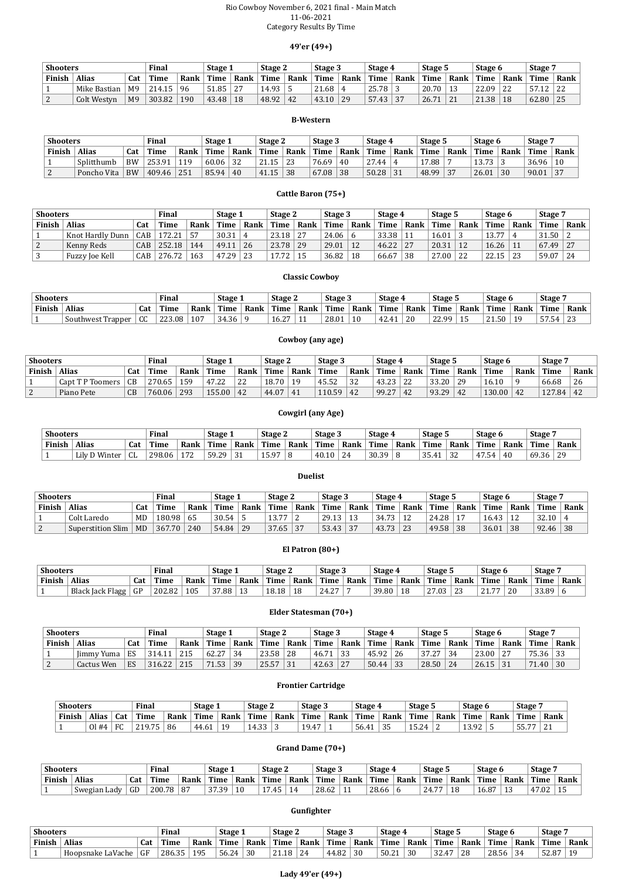#### Rio Cowboy November 6, 2021 final - Main Match 11-06-2021 Category Results By Time

## **49'er (49+)**

| <b>Shooters</b> |              |                | <b>Final</b> |      | Stage 1     |        | Stage 2     |      | Stage 3       |      | Stage 4 |      | Stage 5 |      | Stage 6 |      | Stage 7 |      |
|-----------------|--------------|----------------|--------------|------|-------------|--------|-------------|------|---------------|------|---------|------|---------|------|---------|------|---------|------|
| Finish          | <b>Alias</b> | Cat            | Time         | Rank | <b>Time</b> | Rank   | <b>Time</b> | Rank | Time          | Rank | Time    | Rank | Time    | Rank | Time    | Rank | Time    | Rank |
|                 | Mike Bastian | M <sub>9</sub> | 214.15       | 96   | 51.85       | $\sim$ | 14.93       |      | $\angle 1.68$ |      | 25.78   |      | 20.70   |      | 22.09   | 22   | --      | 22   |
| $\mid$ 2        | Colt Westyn  | M <sub>9</sub> | 303.82       | 190  | 43.48       | 18     | 48.92       | 42   | 43.10         | 29   | 57.43   | 37   | 26.71   | 21   | 21.38   | 18   | 62.80   | 25   |

#### **B-Western**

| <b>Shooters</b> |              |           | <b>Final</b> |      | Stage 1     |      | Stage 2   |      | Stage 3 |      | Stage 4   |      | Stage 5 |          | Stage 6            |      | Stage: |      |
|-----------------|--------------|-----------|--------------|------|-------------|------|-----------|------|---------|------|-----------|------|---------|----------|--------------------|------|--------|------|
| Finish          | <b>Alias</b> | Cat       | <b>Time</b>  | Rank | <b>Time</b> | Rank | Time      | Rank | Time    | Rank | ' Time    | Rank | Time    | Rank     | Time               | Rank | Time   | Rank |
|                 | Splitthumb   | <b>BW</b> | 253.91       | 119  | 60.06       | 32   | 21<br>.15 | 23   | 76.69   | 40   | 27<br>.44 |      | 17.88   |          | 1 2 7 2<br>10. / J |      | 36.96  | 10   |
|                 | Poncho Vita  | <b>BW</b> | 409.46       | 251  | 85.94       | 40   | 41.15     | 38   | 67.08   | 38   | 50.28     | 31   | 48.99   | $\Omega$ | 26.01              | 30   | 90.01  | 37   |

### **Cattle Baron (75+)**

| <b>Shooters</b> |                         |     | Final  |      | Stage 1 |      | Stage 2 |      | Stage 3        |      | Stage 4 |      | Stage 5 |      | Stage 6     |      | Stage 7 |      |
|-----------------|-------------------------|-----|--------|------|---------|------|---------|------|----------------|------|---------|------|---------|------|-------------|------|---------|------|
| Finish          | <b>Alias</b>            | Cat | Time   | Rank | Time    | Rank | Time    | Rank | Time           | Rank | Time    | Rank | Time    | Rank | <b>Time</b> | Rank | Time    | Rank |
|                 | <b>Knot Hardly Dunn</b> | CAB | 172.21 |      | 30.31   |      | 23.18   | 27   | $24.06 \mid 6$ |      | 33.38   |      | 16.01   |      | 13.77       |      | 31.50   |      |
|                 | Kenny Reds              | CAB | 252.18 | 144  | 49.11   | 26   | 23.78   | 29   | 29.01          | 12   | 46.22   | 27   | 20.31   | 12   | 16.26       |      | 67.49   | 27   |
|                 | Fuzzy Joe Kell          | CAB | 276.72 | 163  | 47.29   | 23   | 1772    |      | 36.82          | 18   | 66.67   | 38   | 27.00   | 22   | 22.15       | າາ   | 59.07   | 24   |

# **Shooters Final Stage 1 Stage 2 Stage 3 Stage 4 Stage 5 Stage 6 Stage 7** Finish | Alias | Cat | Time | Rank | Time | Rank | Time | Rank | Time | Rank | Time | Time | Rank | Time | Rank | Time | Rank | Time | Rank | Time | Rank | 1 Colt Laredo MD 180.98 65 30.54 5 13.77 2 29.13 13 34.73 12 24.28 17 16.43 12 32.10 4 2 | Superstition Slim | MD | 367.70 | 240 | 54.84 | 29 | 37.65 | 37 | 53.43 | 37 | 43.73 | 23 | 49.58 | 38 | 36.01 | 38 | 92.46 | 38

#### **Classic Cowboy**

| <b>Shooters</b> |                   |              | Final       |      | <b>Stage</b> |      | Stage 2                      |      | Stage 3 |      | Stage 4      |      | Stage 5      |      | Stage 6 |      | <b>Stage</b> |               |
|-----------------|-------------------|--------------|-------------|------|--------------|------|------------------------------|------|---------|------|--------------|------|--------------|------|---------|------|--------------|---------------|
| Finish          | Alias             | Cat          | <b>Time</b> | Rank | Time         | Rank | Time                         | Rank | Time    | Rank | Time         | Rank | Time         | Rank | Time    | Rank | Time         | Rank          |
|                 | Southwest Trapper | $\sim$<br>◡◡ | 223.08      | 107  | 34.36        |      | $\sim$ $\sim$ $\sim$<br>16.Z | **   | 28.01   | 10   | $\mathbf{1}$ | 20   | 22.99<br>22. |      | 21.50   | 1 Q  | $-$<br>57.5  | $\sim$<br>ں ے |

### **Cowboy (any age)**

| <b>Shooters</b> |                  |     | Final  |      | Stage 1            |      | Stage 2 |      | Stage 3       |      | Stage 4         |          | Stage 5     |      | Stage 6 |      | Stage 7 |      |
|-----------------|------------------|-----|--------|------|--------------------|------|---------|------|---------------|------|-----------------|----------|-------------|------|---------|------|---------|------|
| <b>Finish</b>   | <b>Alias</b>     | Cat | Time   | Rank | Time               | Rank | Time    | Rank | Time          | Rank | <b>Time</b>     | Rank     | <b>Time</b> | Rank | Time    | Rank | Time    | Rank |
|                 | Capt T P Toomers | CB  | 270.65 | 159  | 1722<br>4<br>7 . Z | 22   | 8.70    |      | 4552<br>45.5Z | 32   | 43.22<br>1 J.L. | $\Omega$ | 33.20       | 20   | 16.10   |      | 66.68   | 26   |
|                 | Piano Pete       | CB  | 760.06 | 293  | 155.00             | 42   | 44.07   |      | 10.59         | 42   | 99.27           | 42       | 93.29       | 42   | 130.00  | 42   | 127.84  | 42   |

#### **Cowgirl (any Age)**

| <b>Shooters</b> |               |                    | Final  |      | Stage 1 |      | <b>Stage 2</b> |      | Stage 3 |      | Stage 4 |      | Stage 5         |      | Stage 6   |      | <b>Stage</b> |      |
|-----------------|---------------|--------------------|--------|------|---------|------|----------------|------|---------|------|---------|------|-----------------|------|-----------|------|--------------|------|
| Finish          | <b>Alias</b>  | Cat                | Time   | Rank | Time    | Rank | Time           | Rank | Time.   | Rank | Time    | Rank | Time.           | Rank | Time      | Rank | Time         | Rank |
|                 | Lily D Winter | $\mathbf{C}$<br>uц | 298.06 | 172  | 50.20   |      | 15 Q7<br>エリ・ノ  |      | 40.10   | 24   | 30.39   |      | 25<br>. ۲۰۲۰ تا | ., 2 | 1.54<br>4 | 40   | 69.36        | 29   |

#### **Duelist**

|  | Gactus Well | <b>LAN</b> | 310.ZZ | 21J | 71.997 | ----<br>. | $\sim$ 40.07 | . U J | 72.OJ | $\sim$ | , JU. TT | $\cdot$ . | 20.JV | . <i>.</i> .<br><u>. .</u> | - 40.IJ | $\cdot$ . $\cdot$ | 4.TU - | JU. |  |
|--|-------------|------------|--------|-----|--------|-----------|--------------|-------|-------|--------|----------|-----------|-------|----------------------------|---------|-------------------|--------|-----|--|
|--|-------------|------------|--------|-----|--------|-----------|--------------|-------|-------|--------|----------|-----------|-------|----------------------------|---------|-------------------|--------|-----|--|

 $\overline{\phantom{0}}$ 

#### **El Patron (80+)**

| <b>Shooters</b> |                         |     | Final     |      | Stage 1   |      | Stage 2 |      | Stage 3      |      | Stage 4 |      | Stage 5                          |          | Stage 6                        |      | <b>Stage</b> |      |
|-----------------|-------------------------|-----|-----------|------|-----------|------|---------|------|--------------|------|---------|------|----------------------------------|----------|--------------------------------|------|--------------|------|
| Finish          | <b>Alias</b>            | Cat | .<br>`ime | Rank | Time      | Rank | Time    | Rank | Time         | Rank | Time    | Rank | Time                             | Rank     | Time                           | Rank | Time         | Rank |
|                 | <b>Black Jack Flagg</b> | GP  | 202.82    | 105  | $37.88 +$ |      | 18.18   | 18   | 2127<br>24.Z |      | 39.80   | 18   | $\mathbf{z}$<br>7.03<br><u>,</u> | $\Omega$ | $\overline{a}$<br>$^{\circ}$ 1 | 20   | 33.89        |      |

#### **Elder Statesman (70+)**

| <b>Shooters</b> |                   |     | Final  |      | Stage 1 |      | Stage 2     |      | Stage 3 |      | Stage 4 |      | Stage 5     |      | Stage 6 |      | Stage <sup>'</sup> |      |
|-----------------|-------------------|-----|--------|------|---------|------|-------------|------|---------|------|---------|------|-------------|------|---------|------|--------------------|------|
| Finish          | <b>Alias</b>      | Cat | Time   | Rank | Time    | Rank | <b>Time</b> | Rank | Time    | Rank | Time    | Rank | <b>Time</b> | Rank | Time    | Rank | Time               | Rank |
|                 | <b>Jimmy Yuma</b> | ES  | 314.11 | 215  | 62.27   | 34   | 23.58       | 28   | 46.71   | 33   | 45.92   | -26  | っっ<br>37.Z  |      | 23.00   | ר ר  | 75.36              | 33   |
|                 | Cactus Wen        | ES  | 316.22 | 215  |         | 39   | 25.57       | 31   | 42.63   | 27   | 50.44   | 33   | 28.50       | 24   | 26.15   | 31   | 71<br>40           | 30   |

#### **Frontier Cartridge**

| <b>Shooters</b> |              |           | Final |      | Stage 1 |      | Stage 2          |      | Stage 3 |      | Stage 4 |      | Stage 5                                |      | Stage 6          |      | $\overline{\phantom{a}}$ Stage $\overline{\phantom{a}}$ |                     |
|-----------------|--------------|-----------|-------|------|---------|------|------------------|------|---------|------|---------|------|----------------------------------------|------|------------------|------|---------------------------------------------------------|---------------------|
| Finish          | <b>Alias</b> | Cat       | Time  | Rank | Time    | Rank | Time             | Rank | Time.   | Rank | Time    | Rank | <b>Time</b>                            | Rank | Time             | Rank | Time                                                    | Rank                |
|                 | 01#4         | $E\Gamma$ | 21975 | 86   | 44.61   | 1 Q  | າາ<br>۰д.<br>ں س |      | 19.47   |      | 56.41   | 35   | $1 \Gamma$ $2$<br><b>∕</b> ∠∟<br>1 J.L |      | 1 2 0 2<br>10.74 |      | $\overline{a}$<br>--<br><u>ບບ. /</u>                    | $\sim$<br><u>41</u> |

### **Grand Dame (70+)**

| <b>Shooters</b> |                   |     | <b>Final</b> |      | $\overline{\phantom{a}}$ Stage $\overline{\phantom{a}}$ |      | Stage 2 |      | Stage 3 |      | Stage 4 |      | Stage 5               |      | Stage 6 |          | <b>Stage</b> |      |
|-----------------|-------------------|-----|--------------|------|---------------------------------------------------------|------|---------|------|---------|------|---------|------|-----------------------|------|---------|----------|--------------|------|
| Finish          | Alias             | Cat | Time         | Rank | Time                                                    | Rank | Time    | Rank | Time    | Rank | Time    | Rank | <b>Time</b>           | Rank | Time    | Rank     | Time         | Rank |
|                 | Swegian<br>. Lady | GD  | 200.78       | 87   | 3739<br>. ت. ا                                          | 10   | .45     | 4    | 28.62   | . .  | 28.66   |      | $\overline{a}$<br>24. |      | 16.87   | <b>.</b> | 47.02        |      |

#### **Gunfighter**

| <b>Shooters</b> |                   |     | <b>Final</b> |      | Stage 1 |      | Stage 2             |      | Stage 3 |      | Stage <sup>4</sup> |      | Stage 5          |      | Stage 6     |        | <b>Stage</b> |      |
|-----------------|-------------------|-----|--------------|------|---------|------|---------------------|------|---------|------|--------------------|------|------------------|------|-------------|--------|--------------|------|
| Finish          | Alias             | Cat | <b>Time</b>  | Rank | Time    | Rank | Time                | Rank | Time    | Rank | Time               | Rank | Time             | Rank | <b>Time</b> | Rank   | Time         | Rank |
|                 | Hoopsnake LaVache | GF  | 286.35       | 195  | 56.24   | 30   | $\mathbf{a}$<br>.18 | 24   | 44.82   | 30   | 50.21              | 30   | $\Omega$<br>، 20 | 20   | 28.56       | $\sim$ | 52.87        |      |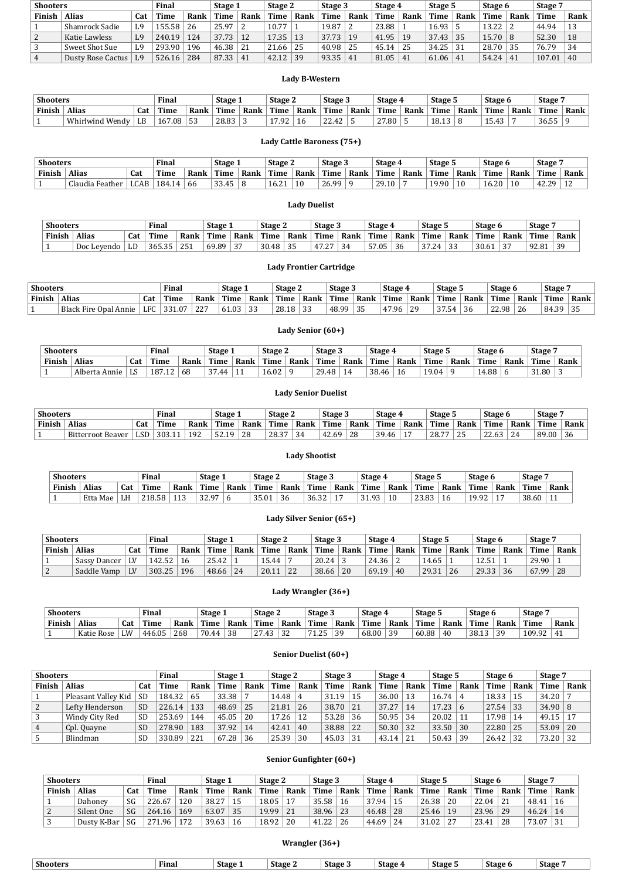| <b>Shooters</b> |                          |                | Final  |      | Stage 1 |               | Stage 2 |      | Stage 3 |                | Stage 4 |      | Stage 5 |      | Stage 6 |      | Stage 7 |      |
|-----------------|--------------------------|----------------|--------|------|---------|---------------|---------|------|---------|----------------|---------|------|---------|------|---------|------|---------|------|
| Finish          | <b>Alias</b>             | Cat            | Time   | Rank | Time    | Rank          | Time    | Rank | Time    | Rank           | Time    | Rank | Time    | Rank | Time    | Rank | Time    | Rank |
|                 | Shamrock Sadie           | L9             | 155.58 | 26   | 25.97   |               | 10.77   |      | 19.87   |                | 23.88   |      | 16.93   |      | 13.22   |      | 44.94   | 13   |
|                 | Katie Lawless            | L9             | 240.19 | 124  | 37.73   | <sup>12</sup> | 17.35   | 13   | 37.73   | 1 <sub>Q</sub> | 41.95   | 19   | 37.43   | 35   | 15.70   |      | 52.30   | 18   |
|                 | Sweet Shot Sue           | L <sub>9</sub> | 293.90 | 196  | 46.38   | 21            | 21.66   | -25  | 40.98   | 25             | 45.14   | 25   | 34.25   | 31   | 28.70   | 35   | 76.79   | 34   |
|                 | <b>Dusty Rose Cactus</b> | L <sub>9</sub> | 526.16 | 284  | 87.33   | 41            | 42.12   | 39   | 93.35   | 41             | 81.05   | 41   | 61.06   | 41   | 54.24   | 41   | 107.01  | 40   |

## **Lady B-Western**

| <b>Shooters</b> |                 |     | Final  |                 | Stage 1     |      | Stage 2     |      | Stage 3                        |      | Stage 4 |      | Stage 5 |      | Stage 6 |      | <b>Stage</b> |      |
|-----------------|-----------------|-----|--------|-----------------|-------------|------|-------------|------|--------------------------------|------|---------|------|---------|------|---------|------|--------------|------|
| Finish          | <b>Alias</b>    | Cat | Time   | Rank            | <b>Time</b> | Rank | <b>Time</b> | Rank | $\mathsf{Time}_{\perp}$        | Rank | Time    | Rank | Time    | Rank | Time    | Rank | Time         | Rank |
|                 | Whirlwind Wendy | LB  | 167.08 | <b>F2</b><br>53 | 28.83       |      | 17.92       | 10.  | nn<br>$\sqrt{2}$<br><u>LL.</u> |      | 27.80   |      | 18.13   |      | 15.43   |      | 36.55        |      |

## **Lady Cattle Baroness (75+)**

| <b>Shooters</b> |                           |      | <b>Final</b>     |      | Stage 1           |      | Stage 2              |      | Stage 3      |      | Stage 4            |      | Stage 5 |      | Stage 6                |      | <b>Stage</b>   |      |
|-----------------|---------------------------|------|------------------|------|-------------------|------|----------------------|------|--------------|------|--------------------|------|---------|------|------------------------|------|----------------|------|
| Finish          | <b>Alias</b>              | Cat  | Time             | Rank | Time              | Rank | Time                 | Rank | Time         | Rank | Time               | Rank | Time    | Rank | Time                   | Rank | Time           | Rank |
|                 | $\sim$<br>Claudia Feather | LCAB | 184<br>$\Lambda$ | bb   | $\Omega$<br>33.4J | J    | $^{\circ}$ 1<br>16.Z | 10   | ሬ QQ<br>26.9 |      | 20<br>1 ሰ<br>29.IU |      | 19.90   | 10   | $\epsilon$ on<br>16.ZU | 10   | $\Delta$<br>ാവ | ∸∸   |

### **Lady Duelist**

| <b>Shooters</b> |             |     | Final  |      | Stage 1 |      | Stage 2 |           | Stage 3                          |      | Stage 4 |      | Stage 5       |      | Stage 6 |                     | Stage <sup>'</sup> |      |
|-----------------|-------------|-----|--------|------|---------|------|---------|-----------|----------------------------------|------|---------|------|---------------|------|---------|---------------------|--------------------|------|
| Finish          | Alias       | Cat | Time   | Rank | Time    | Rank | Time    | Rank      | Time                             | Rank | Time    | Rank | Time          | Rank | Time    | Rank                | Time               | Rank |
|                 | Doc Levendo | LL  | 365.35 | 251  | 69.89   | רי   | 30.48   | 35<br>ັບປ | $\Delta$ 7<br>$\sim$ $\sim$<br>. | 34   | 57.05   | 36   | 3724<br>ے. ہی | ົດ   | 30.61   | $\sim$ $\sim$<br>ാ. | 0201<br>12.O L     | 39   |

## **Lady Frontier Cartridge**

| <b>Shooters</b> |                          |            | Final               |                   | Stage 1 |          | Stage 2     |          | Stage 3 |          | Stage 4     |                 | Stage 5                    |      | Stage 6      |      | <b>Stage</b>      |      |
|-----------------|--------------------------|------------|---------------------|-------------------|---------|----------|-------------|----------|---------|----------|-------------|-----------------|----------------------------|------|--------------|------|-------------------|------|
| Finish          | Alias                    | <b>Cat</b> | <b>CONT</b><br>'ime | Rank              | Time    | Rank     | <b>Time</b> | Rank     | Time    | Rank     | <b>Time</b> | Rank            | Time                       | Rank | Time         | Rank | Time <sub>1</sub> | Rank |
|                 | Black Fire Opal<br>Annie | <b>LFC</b> | ሰ7<br>221<br>ι.∪    | 227<br><u>_ _</u> | 61.03   | ാറ<br>33 | 28.18       | 33<br>ັບ | 48.99   | $\Omega$ | 47.96       | $\Omega$<br>, u | $\sim$ $\sim$ $\sim$<br>54 | 36   | 22.98<br>22. | 26   | 84.39             | 35   |

## **Lady Senior (60+)**

| <b>Shooters</b> |                  |           | <b>Final</b> |      | <b>Stage 1</b>      |            | Stage 2                   |      | Stage 3                                       |      | Stage 4     |      | Stage 5 |      | Stage 6 |      | Stage |      |
|-----------------|------------------|-----------|--------------|------|---------------------|------------|---------------------------|------|-----------------------------------------------|------|-------------|------|---------|------|---------|------|-------|------|
| Finish          | <b>Alias</b>     | Cat       | Time         | Rank | Time                | Rank       | Time                      | Rank | Time                                          | Rank | <b>Time</b> | Rank | Time    | Rank | Time.   | Rank | Time  | Rank |
|                 | Alberta<br>Annie | . n<br>Lυ | 187          | 68   | $\sim$ $\sim$<br>44 | <b>. .</b> | $\sim$ 0. $\sim$<br>16.UZ |      | 20<br>$\Delta$ <sup><math>\Omega</math></sup> |      | 38.46       | Ιb   | 19.04   |      | 4.88    |      | 31.80 |      |

## **Lady Senior Duelist**

| <b>Shooters</b> |                      |     | <b>Final</b> |              | Stage 1 |      | Stage 2 |             | Stage 3                   |      | Stage 4 |                | Stage 5 |                        | Stage 6               |      | <b>Stage</b> |      |
|-----------------|----------------------|-----|--------------|--------------|---------|------|---------|-------------|---------------------------|------|---------|----------------|---------|------------------------|-----------------------|------|--------------|------|
| Finish          | .<br>Alias           | Cat | <b>Time</b>  | Time<br>Rank |         | Rank | Time    | Rank        | Time                      | Rank | Time    | Rank           | Time    | Rank                   | <b>Time</b>           | Rank | Time         | Rank |
|                 | Bitterroot<br>Beaver | LSD | 303.11       | 192          | ີ 1 Q.  | 28   | 28.37   | $\sim$<br>ັ | $\sqrt{2}$<br>69'<br>14.U | 28   | 39.46   | $\overline{ }$ | 28.77   | $\Omega$<br><u>ے ب</u> | $\mathbf{a}$<br>22.VI | 24   | 89.00        | 36   |

# **Lady Shootist**

| <b>Shooters</b> |              |     | <b>Final</b>   |            | Stage 1        |      | Stage 2     |      | Stage 3 |          | Stage 4 |      | Stage 5        |      | Stage 6 |      | Stage : |      |
|-----------------|--------------|-----|----------------|------------|----------------|------|-------------|------|---------|----------|---------|------|----------------|------|---------|------|---------|------|
| Finish          | <b>Alias</b> | Cat | <b>Time</b>    | Rank       | Time           | Rank | Time        | Rank | Time    | Rank     | Time    | Rank | Time           | Rank | Time.   | Rank | Time    | Rank |
|                 | Etta Mae     | LH  | 210E<br>218.58 | 110<br>ᆂᆂᇦ | 2207<br>J 4. J |      | 25<br>35.01 | 36   | 36.32   | <b>.</b> | -21-02  |      | 23.83<br>20.OU |      | 19.92   | л.,  | 38.60   | . .  |

## **Lady Silver Senior (65+)**

| <b>Shooters</b> |              |     | <b>Final</b> |      | Stage 1 |      | Stage 2                                 |      | Stage 3 |      | Stage 4 |      | Stage 5     |      | Stage 6     |      | Stage <sup>'</sup> |      |
|-----------------|--------------|-----|--------------|------|---------|------|-----------------------------------------|------|---------|------|---------|------|-------------|------|-------------|------|--------------------|------|
| <b>Finish</b>   | <b>Alias</b> | Cat | <b>Time</b>  | Rank | Time    | Rank | Time                                    | Rank | Time    | Rank | Time    | Rank | <b>Time</b> | Rank | <b>Time</b> | Rank | Time               | Rank |
|                 | Sassy Dancer | LV  | 42.52        | 16   | 25.42   |      | $\overline{a}$ $\overline{a}$<br>- 5.44 |      | 20.24   |      | 24.36   |      | 14.65       |      | 12.51       |      | 29.90              |      |
|                 | Saddle Vamp  | LV  | 303.25       | 196  | 48.66   | 24   | 20.11                                   | 22   | 38.66   | 20   | 69.19   | 40   | 29.31       | 26   | 29.33       | 36   | 67.99              | 28   |

## **Lady Wrangler (36+)**

| <b>Shooters</b> |            |     | Final  |      | Stage 1 |      | Stage 2              |                | Stage 3          |      | Stage 4 |      | Stage 5 |      | Stage ( |      | Stage ' |      |
|-----------------|------------|-----|--------|------|---------|------|----------------------|----------------|------------------|------|---------|------|---------|------|---------|------|---------|------|
| Finish          | Alias      | Cat | Time   | Rank | Time    | Rank | Time                 | Rank           | Time             | Rank | Time    | Rank | Time    | Rank | Time    | Rank | Time    | Rank |
|                 | Katie Rose | LW  | 446.05 | 268  | 70.44   | 38   | $\sim$ $\sim$<br>4 ຕ | $\Omega$<br>ັ້ | 74<br>ח ר<br>ᅩ.ᆈ | ٩q   | 68.00   | 20   | 60.88   | 40   | 38.13   | 30   | 109.92  | л.   |

## **Senior Duelist (60+)**

| <b>Shooters</b> |                     |           | Final       |      | Stage 1 |      | Stage 2     |      | Stage 3 |      | Stage 4     |      | Stage 5     |      | Stage 6 |      | Stage 7        |      |
|-----------------|---------------------|-----------|-------------|------|---------|------|-------------|------|---------|------|-------------|------|-------------|------|---------|------|----------------|------|
| Finish          | <b>Alias</b>        | Cat       | <b>Time</b> | Rank | Time    | Rank | <b>Time</b> | Rank | Time    | Rank | <b>Time</b> | Rank | <b>Time</b> | Rank | Time    | Rank | Time           | Rank |
|                 | Pleasant Valley Kid | <b>SD</b> | 184.32      | 65   | 33.38   |      | 14.48       |      | 31.19   | 15   | 36.00       |      | 16.74       |      | 18.33   |      | 34.20          |      |
|                 | Lefty Henderson     | <b>SD</b> | 226.14      | 133  | 48.69   | 25   | 21.81       | 26   | 38.70   | 21   | 37.27       | 14   | 17.23       |      | 27.54   | 33   | $34.90 \mid 8$ |      |
|                 | Windy City Red      | <b>SD</b> | 253.69      | 144  | 45.05   | 20   | 17.26       | 12   | 53.28   | 36   | 50.95       | 34   | 20.02       |      | 17.98   | 14   | 49.15          |      |
|                 | Cpl. Quayne         | <b>SD</b> | 278.90      | 183  | 37.92   | 14   | 42.41       | 40   | 38.88   | 22   | 50.30       | -32  | 33.50       | 30   | 22.80   |      | 53.09          | 20   |
|                 | Blindman            | <b>SD</b> | 330.89      | 221  | 67.28   | 36   | 25.39       | 30   | 45.03   |      | 43.14       | 21   | 50.43       | 39   | 26.42   |      | 73.20          | 32   |

# **Senior Gunfighter (60+)**

| <b>Shooters</b> |              |     | Final      |      | Stage 1 |      | Stage 2 |      | Stage 3 |      | Stage 4 |      | Stage 5 |      | Stage 6 |      | Stage ' |      |
|-----------------|--------------|-----|------------|------|---------|------|---------|------|---------|------|---------|------|---------|------|---------|------|---------|------|
| Finish          | <b>Alias</b> | Cat | Time       | Rank | Time    | Rank | Time    | Rank | Time    | Rank | Time    | Rank | Time    | Rank | Time    | Rank | Time    | Rank |
|                 | Dahoney      | SG  | 226.67     | 120  | 38.27   |      | 18.05   | 17   | 35.58   | 16   | 37.94   |      | 26.38   | 20   | 22.04   | 21   | 48.41   | 16   |
| 2               | Silent One   | SG  | 264.16     | 169  | 63.07   | 35   | 19.99   | 21   | 38.96   | 23   | 46.48   | 28   | 25.46   | 19   | 23.96   | 29   | 46.24   | 14   |
|                 | Dusty K-Bar  | SG  | .96<br>271 | 172  | 39.63   | 16   | 18.92   | 20   | 41.22   | 26   | 44.69   | 24   | 31.02   |      | 23.41   | 28   | 73.07   | 31   |

**Wrangler (36+)**

| $\mathbf{r}$<br>Stage<br>$\sim$<br>$\sim$<br><u>"</u><br><b>.</b><br><b>Stage</b><br><b>Shooters</b><br><b>Stage</b><br>Final<br>Stage:<br>stage<br>stage 4<br>stage<br>. .<br>. . |
|------------------------------------------------------------------------------------------------------------------------------------------------------------------------------------|
|------------------------------------------------------------------------------------------------------------------------------------------------------------------------------------|